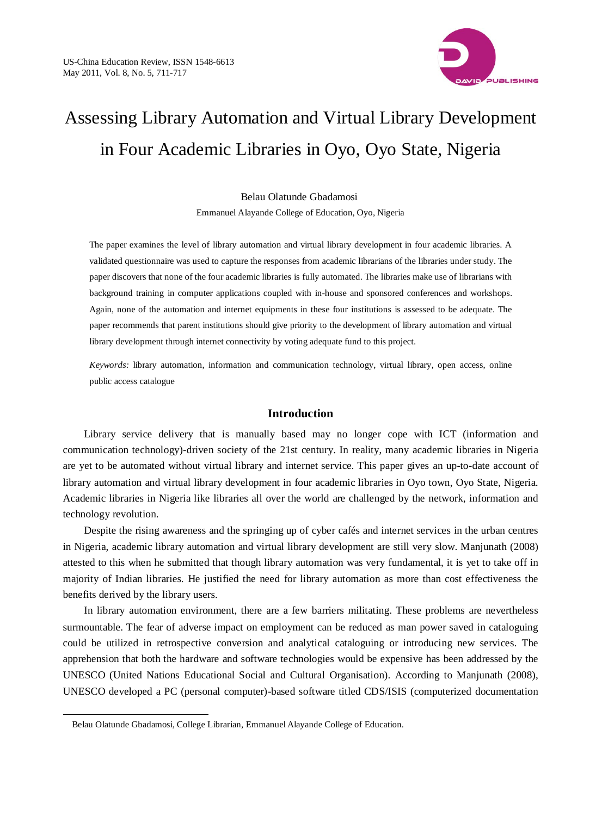

# Assessing Library Automation and Virtual Library Development in Four Academic Libraries in Oyo, Oyo State, Nigeria

Belau Olatunde Gbadamosi

Emmanuel Alayande College of Education, Oyo, Nigeria

The paper examines the level of library automation and virtual library development in four academic libraries. A validated questionnaire was used to capture the responses from academic librarians of the libraries under study. The paper discovers that none of the four academic libraries is fully automated. The libraries make use of librarians with background training in computer applications coupled with in-house and sponsored conferences and workshops. Again, none of the automation and internet equipments in these four institutions is assessed to be adequate. The paper recommends that parent institutions should give priority to the development of library automation and virtual library development through internet connectivity by voting adequate fund to this project.

*Keywords:* library automation, information and communication technology, virtual library, open access, online public access catalogue

# **Introduction**

Library service delivery that is manually based may no longer cope with ICT (information and communication technology)-driven society of the 21st century. In reality, many academic libraries in Nigeria are yet to be automated without virtual library and internet service. This paper gives an up-to-date account of library automation and virtual library development in four academic libraries in Oyo town, Oyo State, Nigeria. Academic libraries in Nigeria like libraries all over the world are challenged by the network, information and technology revolution.

Despite the rising awareness and the springing up of cyber cafés and internet services in the urban centres in Nigeria, academic library automation and virtual library development are still very slow. Manjunath (2008) attested to this when he submitted that though library automation was very fundamental, it is yet to take off in majority of Indian libraries. He justified the need for library automation as more than cost effectiveness the benefits derived by the library users.

In library automation environment, there are a few barriers militating. These problems are nevertheless surmountable. The fear of adverse impact on employment can be reduced as man power saved in cataloguing could be utilized in retrospective conversion and analytical cataloguing or introducing new services. The apprehension that both the hardware and software technologies would be expensive has been addressed by the UNESCO (United Nations Educational Social and Cultural Organisation). According to Manjunath (2008), UNESCO developed a PC (personal computer)-based software titled CDS/ISIS (computerized documentation

Belau Olatunde Gbadamosi, College Librarian, Emmanuel Alayande College of Education.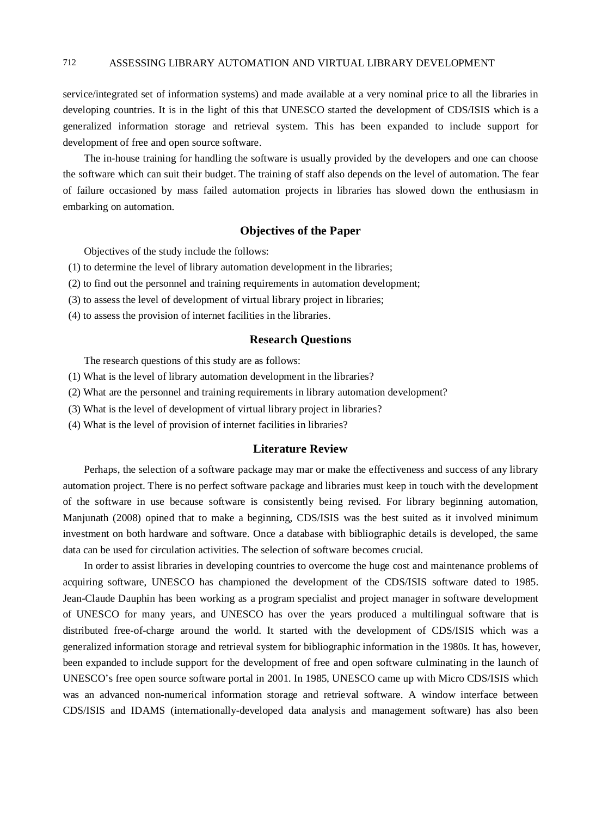service/integrated set of information systems) and made available at a very nominal price to all the libraries in developing countries. It is in the light of this that UNESCO started the development of CDS/ISIS which is a generalized information storage and retrieval system. This has been expanded to include support for development of free and open source software.

The in-house training for handling the software is usually provided by the developers and one can choose the software which can suit their budget. The training of staff also depends on the level of automation. The fear of failure occasioned by mass failed automation projects in libraries has slowed down the enthusiasm in embarking on automation.

## **Objectives of the Paper**

Objectives of the study include the follows:

- (1) to determine the level of library automation development in the libraries;
- (2) to find out the personnel and training requirements in automation development;
- (3) to assess the level of development of virtual library project in libraries;
- (4) to assess the provision of internet facilities in the libraries.

# **Research Questions**

The research questions of this study are as follows:

- (1) What is the level of library automation development in the libraries?
- (2) What are the personnel and training requirements in library automation development?
- (3) What is the level of development of virtual library project in libraries?
- (4) What is the level of provision of internet facilities in libraries?

## **Literature Review**

Perhaps, the selection of a software package may mar or make the effectiveness and success of any library automation project. There is no perfect software package and libraries must keep in touch with the development of the software in use because software is consistently being revised. For library beginning automation, Manjunath (2008) opined that to make a beginning, CDS/ISIS was the best suited as it involved minimum investment on both hardware and software. Once a database with bibliographic details is developed, the same data can be used for circulation activities. The selection of software becomes crucial.

In order to assist libraries in developing countries to overcome the huge cost and maintenance problems of acquiring software, UNESCO has championed the development of the CDS/ISIS software dated to 1985. Jean-Claude Dauphin has been working as a program specialist and project manager in software development of UNESCO for many years, and UNESCO has over the years produced a multilingual software that is distributed free-of-charge around the world. It started with the development of CDS/ISIS which was a generalized information storage and retrieval system for bibliographic information in the 1980s. It has, however, been expanded to include support for the development of free and open software culminating in the launch of UNESCO's free open source software portal in 2001. In 1985, UNESCO came up with Micro CDS/ISIS which was an advanced non-numerical information storage and retrieval software. A window interface between CDS/ISIS and IDAMS (internationally-developed data analysis and management software) has also been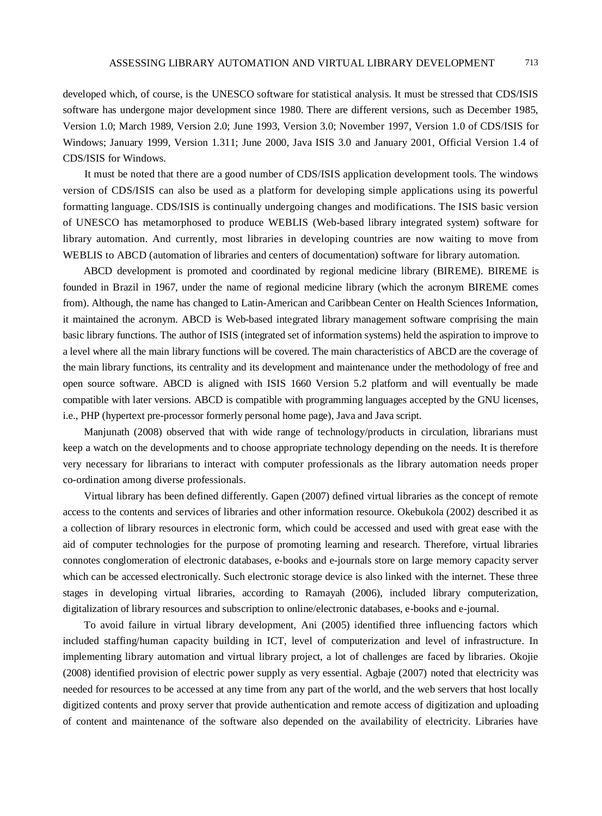developed which, of course, is the UNESCO software for statistical analysis. It must be stressed that CDS/ISIS software has undergone major development since 1980. There are different versions, such as December 1985, Version 1.0; March 1989, Version 2.0; June 1993, Version 3.0; November 1997, Version 1.0 of CDS/ISIS for Windows; January 1999, Version 1.311; June 2000, Java ISIS 3.0 and January 2001, Official Version 1.4 of CDS/ISIS for Windows.

It must be noted that there are a good number of CDS/ISIS application development tools. The windows version of CDS/ISIS can also be used as a platform for developing simple applications using its powerful formatting language. CDS/ISIS is continually undergoing changes and modifications. The ISIS basic version of UNESCO has metamorphosed to produce WEBLIS (Web-based library integrated system) software for library automation. And currently, most libraries in developing countries are now waiting to move from WEBLIS to ABCD (automation of libraries and centers of documentation) software for library automation.

ABCD development is promoted and coordinated by regional medicine library (BIREME). BIREME is founded in Brazil in 1967, under the name of regional medicine library (which the acronym BIREME comes from). Although, the name has changed to Latin-American and Caribbean Center on Health Sciences Information, it maintained the acronym. ABCD is Web-based integrated library management software comprising the main basic library functions. The author of ISIS (integrated set of information systems) held the aspiration to improve to a level where all the main library functions will be covered. The main characteristics of ABCD are the coverage of the main library functions, its centrality and its development and maintenance under the methodology of free and open source software. ABCD is aligned with ISIS 1660 Version 5.2 platform and will eventually be made compatible with later versions. ABCD is compatible with programming languages accepted by the GNU licenses, i.e., PHP (hypertext pre-processor formerly personal home page), Java and Java script.

Manjunath (2008) observed that with wide range of technology/products in circulation, librarians must keep a watch on the developments and to choose appropriate technology depending on the needs. It is therefore very necessary for librarians to interact with computer professionals as the library automation needs proper co-ordination among diverse professionals.

Virtual library has been defined differently. Gapen (2007) defined virtual libraries as the concept of remote access to the contents and services of libraries and other information resource. Okebukola (2002) described it as a collection of library resources in electronic form, which could be accessed and used with great ease with the aid of computer technologies for the purpose of promoting learning and research. Therefore, virtual libraries connotes conglomeration of electronic databases, e-books and e-journals store on large memory capacity server which can be accessed electronically. Such electronic storage device is also linked with the internet. These three stages in developing virtual libraries, according to Ramayah (2006), included library computerization, digitalization of library resources and subscription to online/electronic databases, e-books and e-journal.

To avoid failure in virtual library development, Ani (2005) identified three influencing factors which included staffing/human capacity building in ICT, level of computerization and level of infrastructure. In implementing library automation and virtual library project, a lot of challenges are faced by libraries. Okojie (2008) identified provision of electric power supply as very essential. Agbaje (2007) noted that electricity was needed for resources to be accessed at any time from any part of the world, and the web servers that host locally digitized contents and proxy server that provide authentication and remote access of digitization and uploading of content and maintenance of the software also depended on the availability of electricity. Libraries have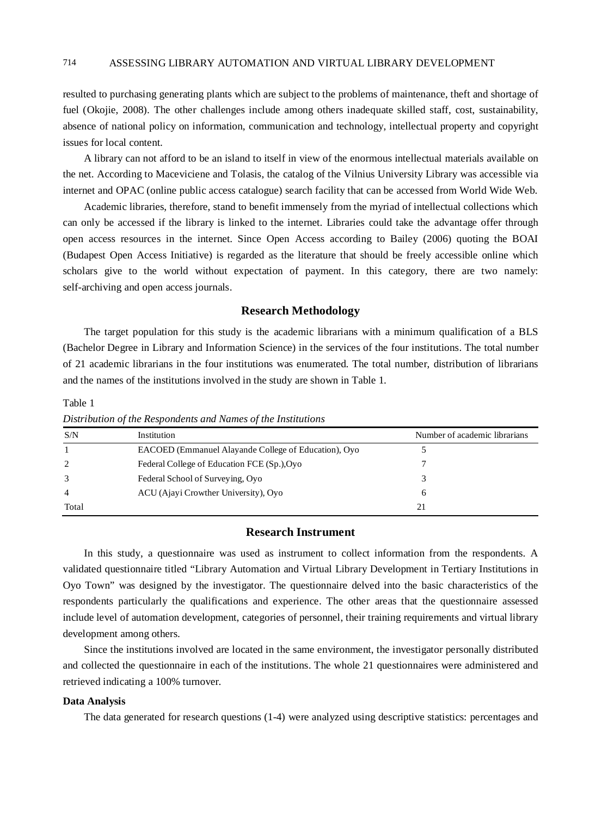resulted to purchasing generating plants which are subject to the problems of maintenance, theft and shortage of fuel (Okojie, 2008). The other challenges include among others inadequate skilled staff, cost, sustainability, absence of national policy on information, communication and technology, intellectual property and copyright issues for local content.

A library can not afford to be an island to itself in view of the enormous intellectual materials available on the net. According to Maceviciene and Tolasis, the catalog of the Vilnius University Library was accessible via internet and OPAC (online public access catalogue) search facility that can be accessed from World Wide Web.

Academic libraries, therefore, stand to benefit immensely from the myriad of intellectual collections which can only be accessed if the library is linked to the internet. Libraries could take the advantage offer through open access resources in the internet. Since Open Access according to Bailey (2006) quoting the BOAI (Budapest Open Access Initiative) is regarded as the literature that should be freely accessible online which scholars give to the world without expectation of payment. In this category, there are two namely: self-archiving and open access journals.

#### **Research Methodology**

The target population for this study is the academic librarians with a minimum qualification of a BLS (Bachelor Degree in Library and Information Science) in the services of the four institutions. The total number of 21 academic librarians in the four institutions was enumerated. The total number, distribution of librarians and the names of the institutions involved in the study are shown in Table 1.

Table 1

| S/N            | Institution                                          | Number of academic librarians |
|----------------|------------------------------------------------------|-------------------------------|
|                | EACOED (Emmanuel Alayande College of Education), Oyo |                               |
| 2              | Federal College of Education FCE (Sp.), Oyo          |                               |
| 3              | Federal School of Surveying, Oyo                     |                               |
| $\overline{4}$ | ACU (Ajayi Crowther University), Oyo                 | h                             |
| Total          |                                                      |                               |

*Distribution of the Respondents and Names of the Institutions*

#### **Research Instrument**

In this study, a questionnaire was used as instrument to collect information from the respondents. A validated questionnaire titled "Library Automation and Virtual Library Development in Tertiary Institutions in Oyo Town" was designed by the investigator. The questionnaire delved into the basic characteristics of the respondents particularly the qualifications and experience. The other areas that the questionnaire assessed include level of automation development, categories of personnel, their training requirements and virtual library development among others.

Since the institutions involved are located in the same environment, the investigator personally distributed and collected the questionnaire in each of the institutions. The whole 21 questionnaires were administered and retrieved indicating a 100% turnover.

#### **Data Analysis**

The data generated for research questions (1-4) were analyzed using descriptive statistics: percentages and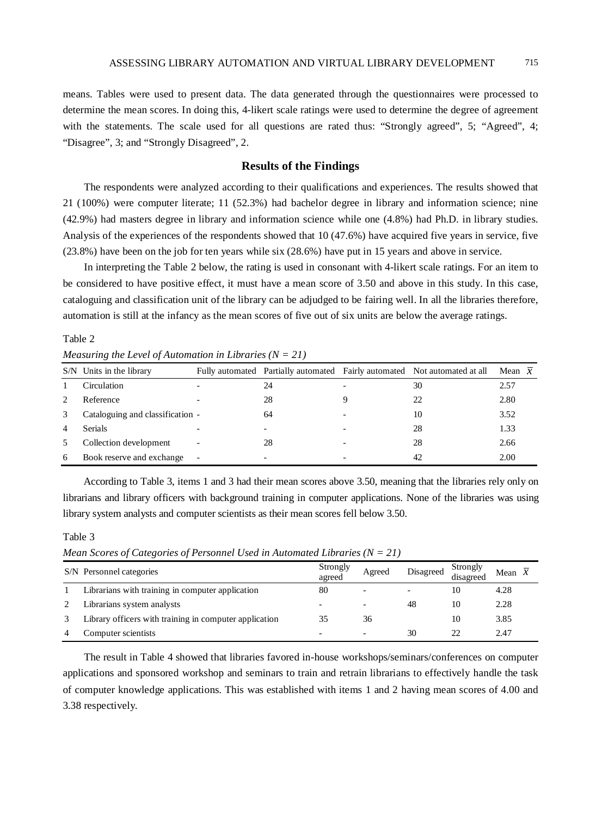means. Tables were used to present data. The data generated through the questionnaires were processed to determine the mean scores. In doing this, 4-likert scale ratings were used to determine the degree of agreement with the statements. The scale used for all questions are rated thus: "Strongly agreed", 5; "Agreed", 4; "Disagree", 3; and "Strongly Disagreed", 2.

## **Results of the Findings**

The respondents were analyzed according to their qualifications and experiences. The results showed that 21 (100%) were computer literate; 11 (52.3%) had bachelor degree in library and information science; nine (42.9%) had masters degree in library and information science while one (4.8%) had Ph.D. in library studies. Analysis of the experiences of the respondents showed that 10 (47.6%) have acquired five years in service, five (23.8%) have been on the job for ten years while six (28.6%) have put in 15 years and above in service.

In interpreting the Table 2 below, the rating is used in consonant with 4-likert scale ratings. For an item to be considered to have positive effect, it must have a mean score of 3.50 and above in this study. In this case, cataloguing and classification unit of the library can be adjudged to be fairing well. In all the libraries therefore, automation is still at the infancy as the mean scores of five out of six units are below the average ratings.

Table 2

*Measuring the Level of Automation in Libraries (N = 21)*

|   | S/N Units in the library         |                          |    | Fully automated Partially automated Fairly automated Not automated at all | Mean $\overline{x}$ |
|---|----------------------------------|--------------------------|----|---------------------------------------------------------------------------|---------------------|
|   | Circulation                      |                          | 24 | 30                                                                        | 2.57                |
|   | Reference                        |                          | 28 | 22                                                                        | 2.80                |
| 3 | Cataloguing and classification - |                          | 64 | 10                                                                        | 3.52                |
| 4 | <b>Serials</b>                   |                          |    | 28                                                                        | 1.33                |
|   | Collection development           |                          | 28 | 28                                                                        | 2.66                |
| 6 | Book reserve and exchange        | $\overline{\phantom{a}}$ |    | 42                                                                        | 2.00                |

According to Table 3, items 1 and 3 had their mean scores above 3.50, meaning that the libraries rely only on librarians and library officers with background training in computer applications. None of the libraries was using library system analysts and computer scientists as their mean scores fell below 3.50.

Table 3

*Mean Scores of Categories of Personnel Used in Automated Libraries (N = 21)*

| S/N Personnel categories                               | Strongly<br>agreed | Agreed                   | Disagreed                | Strongly<br>disagreed | Mean $x$ |
|--------------------------------------------------------|--------------------|--------------------------|--------------------------|-----------------------|----------|
| Librarians with training in computer application       | 80                 | $\overline{\phantom{a}}$ | $\overline{\phantom{0}}$ | 10                    | 4.28     |
| Librarians system analysts                             |                    | $\overline{\phantom{0}}$ | 48                       | 10                    | 2.28     |
| Library officers with training in computer application | 35                 | 36                       |                          | 10                    | 3.85     |
| Computer scientists                                    |                    | $\overline{\phantom{0}}$ | 30                       | つつ                    | 2.47     |

The result in Table 4 showed that libraries favored in-house workshops/seminars/conferences on computer applications and sponsored workshop and seminars to train and retrain librarians to effectively handle the task of computer knowledge applications. This was established with items 1 and 2 having mean scores of 4.00 and 3.38 respectively.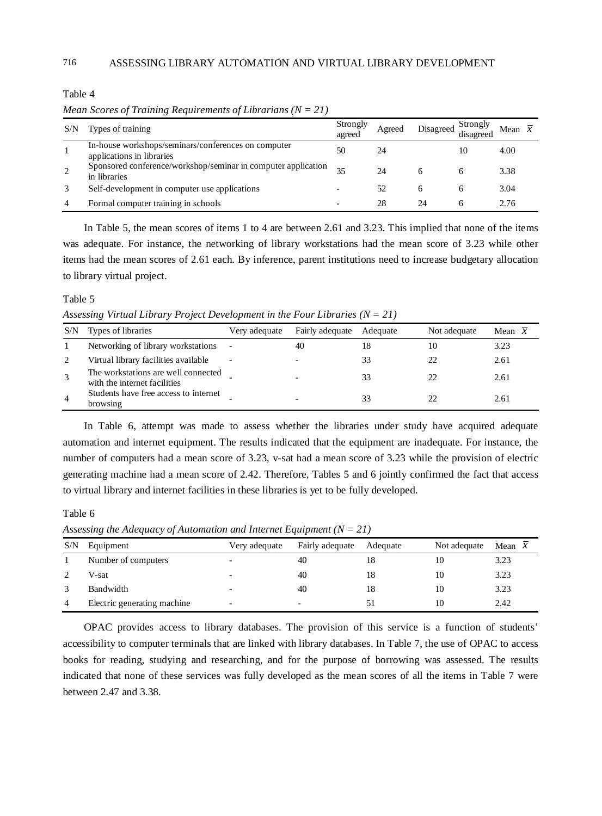Table 4

*Mean Scores of Training Requirements of Librarians (N = 21)*

| S/N | Types of training                                                                | Strongly<br>agreed       | Agreed | Disagreed    | Strongly<br>disagreed | Mean $x$ |  |
|-----|----------------------------------------------------------------------------------|--------------------------|--------|--------------|-----------------------|----------|--|
|     | In-house workshops/seminars/conferences on computer<br>applications in libraries | 50                       | 24     |              | 10                    | 4.00     |  |
| 2   | Sponsored conference/workshop/seminar in computer application<br>in libraries    | 35                       | 24     | <sub>n</sub> |                       | 3.38     |  |
|     | Self-development in computer use applications                                    |                          | 52     | 6            |                       | 3.04     |  |
| 4   | Formal computer training in schools                                              | $\overline{\phantom{0}}$ | 28     | 24           | h                     | 2.76     |  |

In Table 5, the mean scores of items 1 to 4 are between 2.61 and 3.23. This implied that none of the items was adequate. For instance, the networking of library workstations had the mean score of 3.23 while other items had the mean scores of 2.61 each. By inference, parent institutions need to increase budgetary allocation to library virtual project.

#### Table 5

*Assessing Virtual Library Project Development in the Four Libraries (N = 21)*

| S/N            | Types of libraries                                                  | Very adequate            | Fairly adequate | Adequate | Not adequate | Mean $x$ |
|----------------|---------------------------------------------------------------------|--------------------------|-----------------|----------|--------------|----------|
|                | Networking of library workstations                                  |                          | 40              | 18       | 10           | 3.23     |
|                | Virtual library facilities available                                | $\overline{\phantom{a}}$ |                 | 33       | 22           | 2.61     |
|                | The workstations are well connected<br>with the internet facilities |                          |                 | 33       | 22           | 2.61     |
| $\overline{4}$ | Students have free access to internet<br>browsing                   |                          |                 | 33       |              | 2.61     |

In Table 6, attempt was made to assess whether the libraries under study have acquired adequate automation and internet equipment. The results indicated that the equipment are inadequate. For instance, the number of computers had a mean score of 3.23, v-sat had a mean score of 3.23 while the provision of electric generating machine had a mean score of 2.42. Therefore, Tables 5 and 6 jointly confirmed the fact that access to virtual library and internet facilities in these libraries is yet to be fully developed.

Table 6

*Assessing the Adequacy of Automation and Internet Equipment (N = 21)*

| S/N | Equipment                   | Very adequate            | Fairly adequate          | Adequate | Not adequate | Mean $x$ |
|-----|-----------------------------|--------------------------|--------------------------|----------|--------------|----------|
|     | Number of computers         |                          | 40                       |          | 10           | 3.23     |
|     | V-sat                       | $\overline{\phantom{0}}$ | 40                       | 18       | 10           | 3.23     |
|     | Bandwidth                   | -                        | 40                       | 18       | 10           | 3.23     |
| 4   | Electric generating machine | $\overline{\phantom{0}}$ | $\overline{\phantom{0}}$ | 5.       | 10           | 2.42     |

OPAC provides access to library databases. The provision of this service is a function of students' accessibility to computer terminals that are linked with library databases. In Table 7, the use of OPAC to access books for reading, studying and researching, and for the purpose of borrowing was assessed. The results indicated that none of these services was fully developed as the mean scores of all the items in Table 7 were between 2.47 and 3.38.